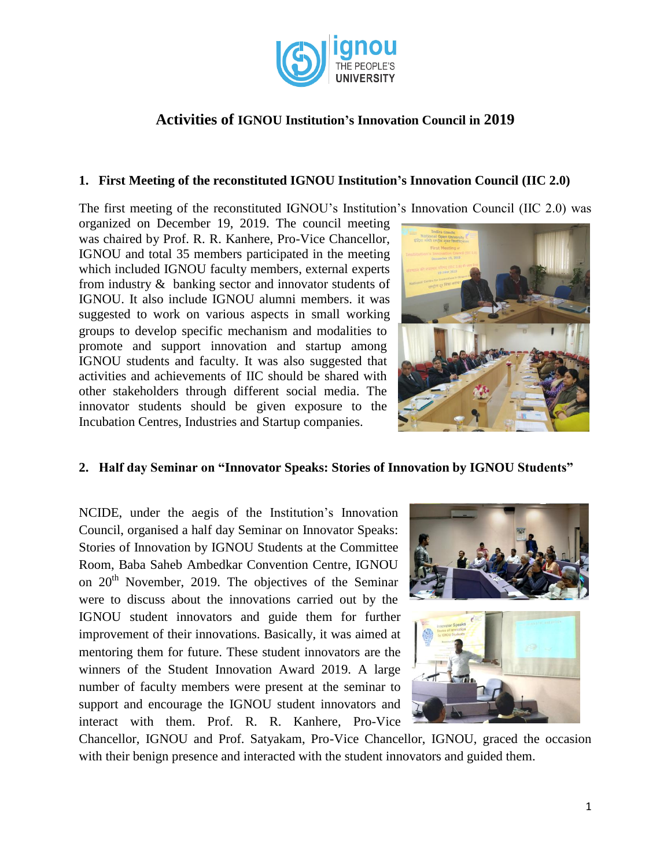

# **Activities of IGNOU Institution's Innovation Council in 2019**

#### **1. First Meeting of the reconstituted IGNOU Institution's Innovation Council (IIC 2.0)**

The first meeting of the reconstituted IGNOU's Institution's Innovation Council (IIC 2.0) was

organized on December 19, 2019. The council meeting was chaired by Prof. R. R. Kanhere, Pro-Vice Chancellor, IGNOU and total 35 members participated in the meeting which included IGNOU faculty members, external experts from industry & banking sector and innovator students of IGNOU. It also include IGNOU alumni members. it was suggested to work on various aspects in small working groups to develop specific mechanism and modalities to promote and support innovation and startup among IGNOU students and faculty. It was also suggested that activities and achievements of IIC should be shared with other stakeholders through different social media. The innovator students should be given exposure to the Incubation Centres, Industries and Startup companies.



#### **2. Half day Seminar on "Innovator Speaks: Stories of Innovation by IGNOU Students"**

NCIDE, under the aegis of the Institution's Innovation Council, organised a half day Seminar on Innovator Speaks: Stories of Innovation by IGNOU Students at the Committee Room, Baba Saheb Ambedkar Convention Centre, IGNOU on  $20<sup>th</sup>$  November, 2019. The objectives of the Seminar were to discuss about the innovations carried out by the IGNOU student innovators and guide them for further improvement of their innovations. Basically, it was aimed at mentoring them for future. These student innovators are the winners of the Student Innovation Award 2019. A large number of faculty members were present at the seminar to support and encourage the IGNOU student innovators and interact with them. Prof. R. R. Kanhere, Pro-Vice



Chancellor, IGNOU and Prof. Satyakam, Pro-Vice Chancellor, IGNOU, graced the occasion with their benign presence and interacted with the student innovators and guided them.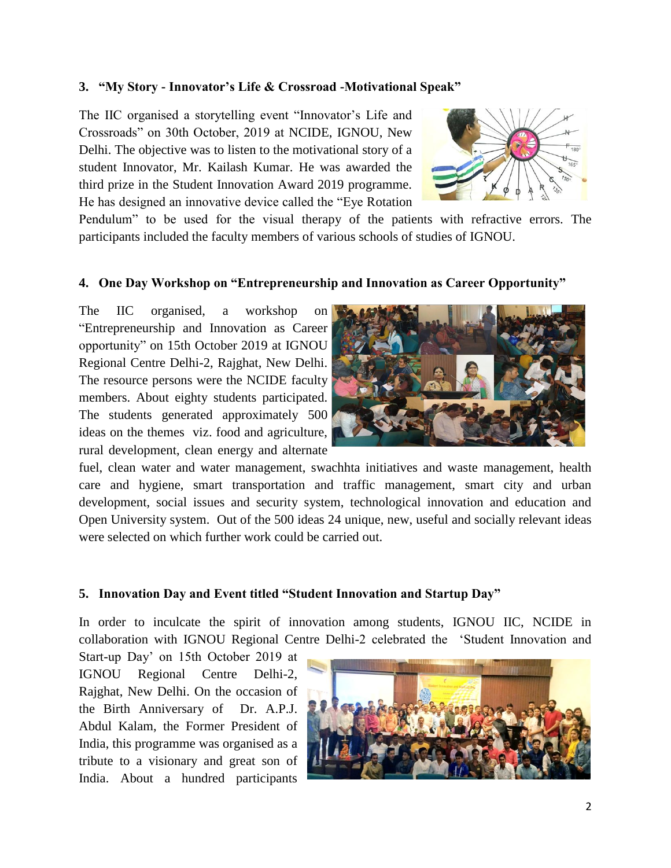### **3. "My Story - Innovator's Life & Crossroad -Motivational Speak"**

The IIC organised a storytelling event "Innovator's Life and Crossroads" on 30th October, 2019 at NCIDE, IGNOU, New Delhi. The objective was to listen to the motivational story of a student Innovator, Mr. Kailash Kumar. He was awarded the third prize in the Student Innovation Award 2019 programme. He has designed an innovative device called the "Eye Rotation



Pendulum" to be used for the visual therapy of the patients with refractive errors. The participants included the faculty members of various schools of studies of IGNOU.

#### **4. One Day Workshop on "Entrepreneurship and Innovation as Career Opportunity"**

The IIC organised, a workshop on "Entrepreneurship and Innovation as Career opportunity" on 15th October 2019 at IGNOU Regional Centre Delhi-2, Rajghat, New Delhi. The resource persons were the NCIDE faculty members. About eighty students participated. The students generated approximately 500 ideas on the themes viz. food and agriculture, rural development, clean energy and alternate



fuel, clean water and water management, swachhta initiatives and waste management, health care and hygiene, smart transportation and traffic management, smart city and urban development, social issues and security system, technological innovation and education and Open University system. Out of the 500 ideas 24 unique, new, useful and socially relevant ideas were selected on which further work could be carried out.

### **5. Innovation Day and Event titled "Student Innovation and Startup Day"**

In order to inculcate the spirit of innovation among students, IGNOU IIC, NCIDE in collaboration with IGNOU Regional Centre Delhi-2 celebrated the 'Student Innovation and

Start-up Day' on 15th October 2019 at IGNOU Regional Centre Delhi-2, Rajghat, New Delhi. On the occasion of the Birth Anniversary of Dr. A.P.J. Abdul Kalam, the Former President of India, this programme was organised as a tribute to a visionary and great son of India. About a hundred participants

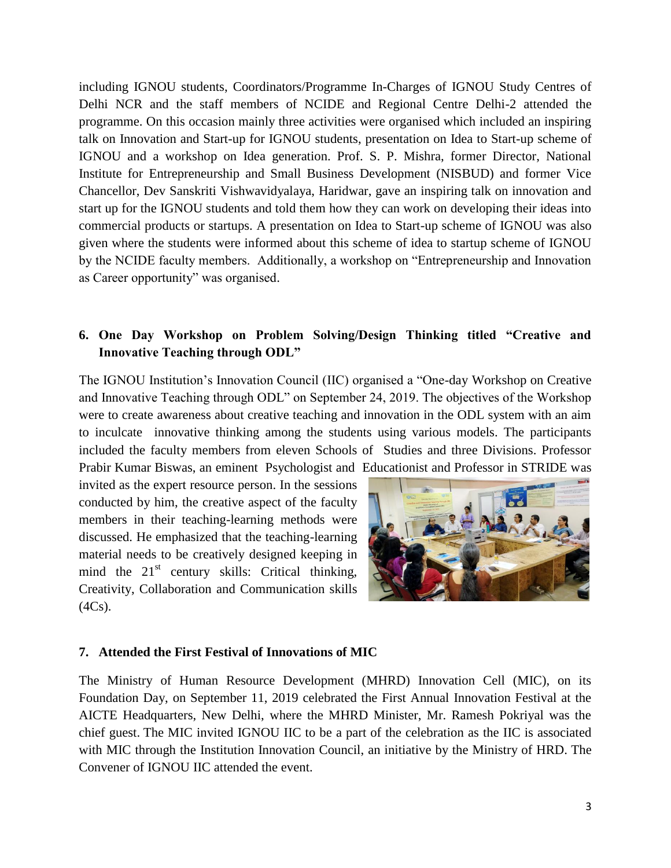including IGNOU students, Coordinators/Programme In-Charges of IGNOU Study Centres of Delhi NCR and the staff members of NCIDE and Regional Centre Delhi-2 attended the programme. On this occasion mainly three activities were organised which included an inspiring talk on Innovation and Start-up for IGNOU students, presentation on Idea to Start-up scheme of IGNOU and a workshop on Idea generation. Prof. S. P. Mishra, former Director, National Institute for Entrepreneurship and Small Business Development (NISBUD) and former Vice Chancellor, Dev Sanskriti Vishwavidyalaya, Haridwar, gave an inspiring talk on innovation and start up for the IGNOU students and told them how they can work on developing their ideas into commercial products or startups. A presentation on Idea to Start-up scheme of IGNOU was also given where the students were informed about this scheme of idea to startup scheme of IGNOU by the NCIDE faculty members. Additionally, a workshop on "Entrepreneurship and Innovation as Career opportunity" was organised.

## **6. One Day Workshop on Problem Solving/Design Thinking titled "Creative and Innovative Teaching through ODL"**

The IGNOU Institution's Innovation Council (IIC) organised a "One-day Workshop on Creative and Innovative Teaching through ODL" on September 24, 2019. The objectives of the Workshop were to create awareness about creative teaching and innovation in the ODL system with an aim to inculcate innovative thinking among the students using various models. The participants included the faculty members from eleven Schools of Studies and three Divisions. Professor Prabir Kumar Biswas, an eminent Psychologist and Educationist and Professor in STRIDE was

invited as the expert resource person. In the sessions conducted by him, the creative aspect of the faculty members in their teaching-learning methods were discussed. He emphasized that the teaching-learning material needs to be creatively designed keeping in mind the  $21<sup>st</sup>$  century skills: Critical thinking, Creativity, Collaboration and Communication skills  $(4Cs)$ .



#### **7. Attended the First Festival of Innovations of MIC**

The Ministry of Human Resource Development (MHRD) Innovation Cell (MIC), on its Foundation Day, on September 11, 2019 celebrated the First Annual Innovation Festival at the AICTE Headquarters, New Delhi, where the MHRD Minister, Mr. Ramesh Pokriyal was the chief guest. The MIC invited IGNOU IIC to be a part of the celebration as the IIC is associated with MIC through the Institution Innovation Council, an initiative by the Ministry of HRD. The Convener of IGNOU IIC attended the event.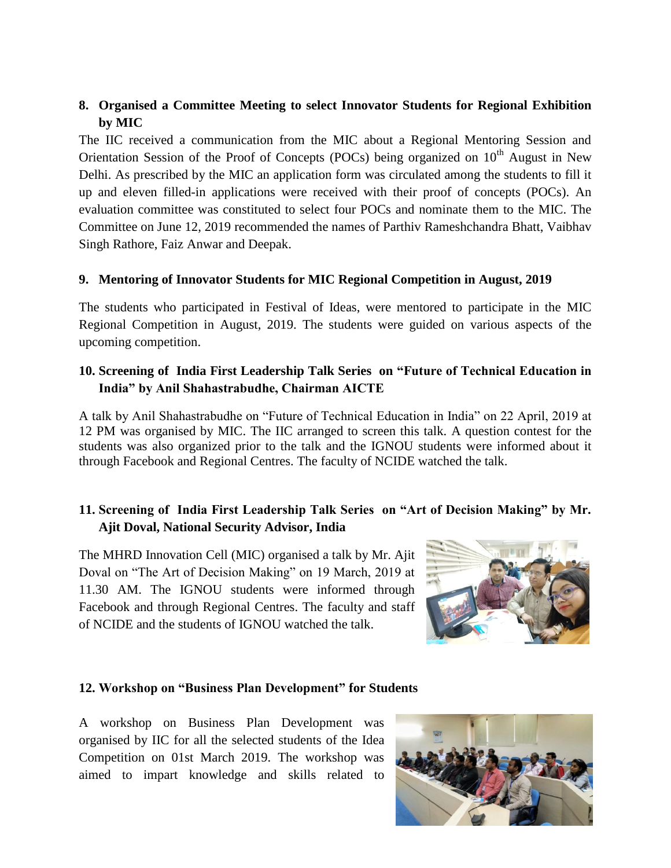## **8. Organised a Committee Meeting to select Innovator Students for Regional Exhibition by MIC**

The IIC received a communication from the MIC about a Regional Mentoring Session and Orientation Session of the Proof of Concepts (POCs) being organized on  $10<sup>th</sup>$  August in New Delhi. As prescribed by the MIC an application form was circulated among the students to fill it up and eleven filled-in applications were received with their proof of concepts (POCs). An evaluation committee was constituted to select four POCs and nominate them to the MIC. The Committee on June 12, 2019 recommended the names of Parthiv Rameshchandra Bhatt, Vaibhav Singh Rathore, Faiz Anwar and Deepak.

#### **9. Mentoring of Innovator Students for MIC Regional Competition in August, 2019**

The students who participated in Festival of Ideas, were mentored to participate in the MIC Regional Competition in August, 2019. The students were guided on various aspects of the upcoming competition.

## **10. Screening of India First Leadership Talk Series on "Future of Technical Education in India" by Anil Shahastrabudhe, Chairman AICTE**

A talk by Anil Shahastrabudhe on "Future of Technical Education in India" on 22 April, 2019 at 12 PM was organised by MIC. The IIC arranged to screen this talk. A question contest for the students was also organized prior to the talk and the IGNOU students were informed about it through Facebook and Regional Centres. The faculty of NCIDE watched the talk.

## **11. Screening of India First Leadership Talk Series on "Art of Decision Making" by Mr. Ajit Doval, National Security Advisor, India**

The MHRD Innovation Cell (MIC) organised a talk by Mr. Ajit Doval on "The Art of Decision Making" on 19 March, 2019 at 11.30 AM. The IGNOU students were informed through Facebook and through Regional Centres. The faculty and staff of NCIDE and the students of IGNOU watched the talk.



### **12. Workshop on "Business Plan Development" for Students**

A workshop on Business Plan Development was organised by IIC for all the selected students of the Idea Competition on 01st March 2019. The workshop was aimed to impart knowledge and skills related to